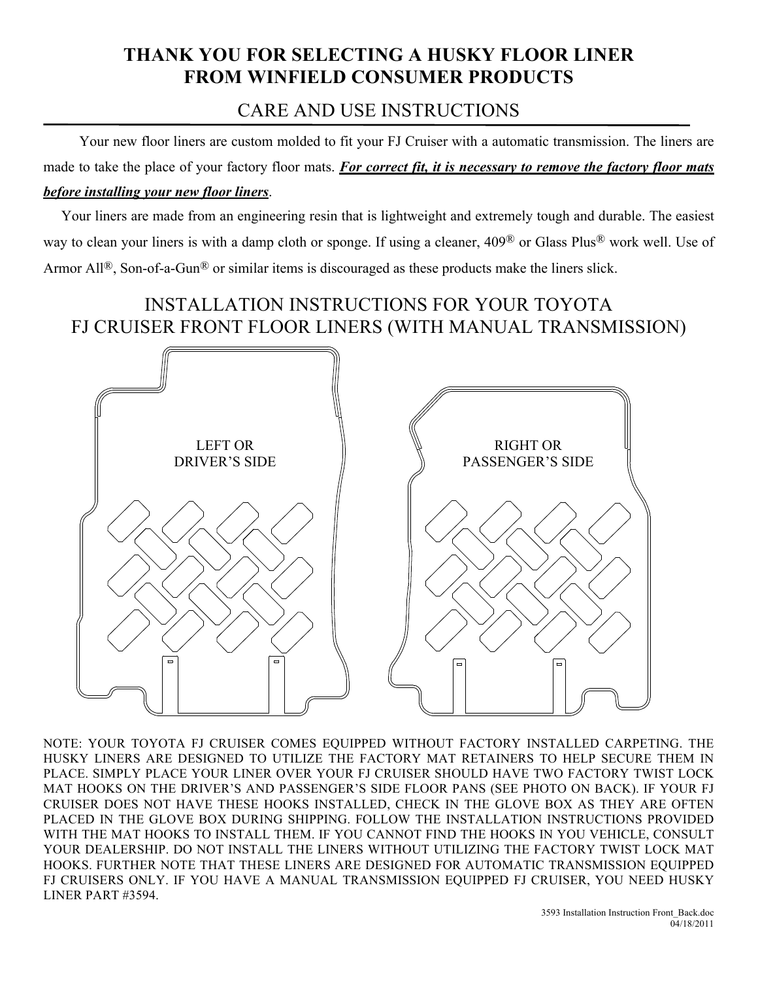## **THANK YOU FOR SELECTING A HUSKY FLOOR LINER FROM WINFIELD CONSUMER PRODUCTS**

## CARE AND USE INSTRUCTIONS

 Your new floor liners are custom molded to fit your FJ Cruiser with a automatic transmission. The liners are made to take the place of your factory floor mats. *For correct fit, it is necessary to remove the factory floor mats before installing your new floor liners*.

 Your liners are made from an engineering resin that is lightweight and extremely tough and durable. The easiest way to clean your liners is with a damp cloth or sponge. If using a cleaner, 409® or Glass Plus® work well. Use of Armor All<sup>®</sup>, Son-of-a-Gun<sup>®</sup> or similar items is discouraged as these products make the liners slick.

## INSTALLATION INSTRUCTIONS FOR YOUR TOYOTA FJ CRUISER FRONT FLOOR LINERS (WITH MANUAL TRANSMISSION)



NOTE: YOUR TOYOTA FJ CRUISER COMES EQUIPPED WITHOUT FACTORY INSTALLED CARPETING. THE HUSKY LINERS ARE DESIGNED TO UTILIZE THE FACTORY MAT RETAINERS TO HELP SECURE THEM IN PLACE. SIMPLY PLACE YOUR LINER OVER YOUR FJ CRUISER SHOULD HAVE TWO FACTORY TWIST LOCK MAT HOOKS ON THE DRIVER'S AND PASSENGER'S SIDE FLOOR PANS (SEE PHOTO ON BACK). IF YOUR FJ CRUISER DOES NOT HAVE THESE HOOKS INSTALLED, CHECK IN THE GLOVE BOX AS THEY ARE OFTEN PLACED IN THE GLOVE BOX DURING SHIPPING. FOLLOW THE INSTALLATION INSTRUCTIONS PROVIDED WITH THE MAT HOOKS TO INSTALL THEM. IF YOU CANNOT FIND THE HOOKS IN YOU VEHICLE, CONSULT YOUR DEALERSHIP. DO NOT INSTALL THE LINERS WITHOUT UTILIZING THE FACTORY TWIST LOCK MAT HOOKS. FURTHER NOTE THAT THESE LINERS ARE DESIGNED FOR AUTOMATIC TRANSMISSION EQUIPPED FJ CRUISERS ONLY. IF YOU HAVE A MANUAL TRANSMISSION EQUIPPED FJ CRUISER, YOU NEED HUSKY LINER PART #3594.